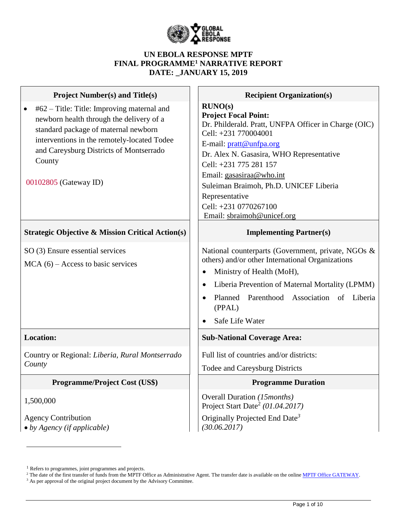

### **UN EBOLA RESPONSE MPTF FINAL PROGRAMME<sup>1</sup> NARRATIVE REPORT DATE: \_JANUARY 15, 2019**

| <b>Project Number(s) and Title(s)</b>                                                                                                                                                                                                                       | <b>Recipient Organization(s)</b>                                                                                                                                                                                                                                                                                                                                       |
|-------------------------------------------------------------------------------------------------------------------------------------------------------------------------------------------------------------------------------------------------------------|------------------------------------------------------------------------------------------------------------------------------------------------------------------------------------------------------------------------------------------------------------------------------------------------------------------------------------------------------------------------|
| #62 – Title: Title: Improving maternal and<br>newborn health through the delivery of a<br>standard package of maternal newborn<br>interventions in the remotely-located Todee<br>and Careysburg Districts of Montserrado<br>County<br>00102805 (Gateway ID) | RUNO(s)<br><b>Project Focal Point:</b><br>Dr. Philderald. Pratt, UNFPA Officer in Charge (OIC)<br>Cell: +231 770004001<br>E-mail: pratt@unfpa.org<br>Dr. Alex N. Gasasira, WHO Representative<br>Cell: +231 775 281 157<br>Email: gasasiraa@who.int<br>Suleiman Braimoh, Ph.D. UNICEF Liberia<br>Representative<br>Cell: +231 0770267100<br>Email: sbraimoh@unicef.org |
| <b>Strategic Objective &amp; Mission Critical Action(s)</b>                                                                                                                                                                                                 | <b>Implementing Partner(s)</b>                                                                                                                                                                                                                                                                                                                                         |
| SO (3) Ensure essential services<br>$MCA(6) - Access$ to basic services                                                                                                                                                                                     | National counterparts (Government, private, NGOs &<br>others) and/or other International Organizations<br>Ministry of Health (MoH),<br>Liberia Prevention of Maternal Mortality (LPMM)<br>$\bullet$<br>Planned Parenthood Association of Liberia<br>(PPAL)<br>Safe Life Water                                                                                          |
| <b>Location:</b>                                                                                                                                                                                                                                            | <b>Sub-National Coverage Area:</b>                                                                                                                                                                                                                                                                                                                                     |
| Country or Regional: Liberia, Rural Montserrado<br>County                                                                                                                                                                                                   | Full list of countries and/or districts:<br>Todee and Careysburg Districts                                                                                                                                                                                                                                                                                             |
| <b>Programme/Project Cost (US\$)</b>                                                                                                                                                                                                                        | <b>Programme Duration</b>                                                                                                                                                                                                                                                                                                                                              |
| 1,500,000                                                                                                                                                                                                                                                   | Overall Duration (15months)<br>Project Start Date <sup>2</sup> (01.04.2017)                                                                                                                                                                                                                                                                                            |
| <b>Agency Contribution</b><br>$\bullet$ by Agency (if applicable)                                                                                                                                                                                           | Originally Projected End Date <sup>3</sup><br>(30.06.2017)                                                                                                                                                                                                                                                                                                             |

<sup>&</sup>lt;sup>1</sup> Refers to programmes, joint programmes and projects.

<sup>&</sup>lt;sup>2</sup> The date of the first transfer of funds from the MPTF Office as Administrative Agent. The transfer date is available on the online [MPTF Office GATEWAY.](http://mdtf.undp.org/)

<sup>&</sup>lt;sup>3</sup> As per approval of the original project document by the Advisory Committee.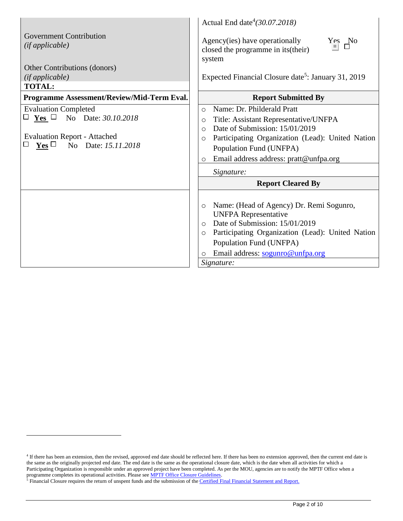|                                                      | Actual End date $(30.07.2018)$                                                            |
|------------------------------------------------------|-------------------------------------------------------------------------------------------|
| <b>Government Contribution</b><br>(ifappliedble)     | Agency(ies) have operationally<br>Yes No<br>closed the programme in its (their)<br>system |
| Other Contributions (donors)                         |                                                                                           |
| (ifappliedble)                                       | Expected Financial Closure date <sup>5</sup> : January 31, 2019                           |
| <b>TOTAL:</b>                                        |                                                                                           |
| Programme Assessment/Review/Mid-Term Eval.           | <b>Report Submitted By</b>                                                                |
| <b>Evaluation Completed</b>                          | Name: Dr. Philderald Pratt<br>$\circ$                                                     |
| $\Box$ Yes $\Box$ No Date: 30.10.2018                | Title: Assistant Representative/UNFPA<br>$\circ$                                          |
|                                                      | Date of Submission: 15/01/2019<br>$\circ$                                                 |
| <b>Evaluation Report - Attached</b>                  | Participating Organization (Lead): United Nation<br>$\circ$                               |
| $\mathbf{Yes}$ $\square$<br>No Date: 15.11.2018<br>Ш | Population Fund (UNFPA)                                                                   |
|                                                      | Email address address: pratt@unfpa.org<br>$\circ$                                         |
|                                                      | Signature:                                                                                |
|                                                      | <b>Report Cleared By</b>                                                                  |
|                                                      |                                                                                           |
|                                                      | Name: (Head of Agency) Dr. Remi Sogunro,<br>$\circ$                                       |
|                                                      | <b>UNFPA Representative</b>                                                               |
|                                                      | Date of Submission: 15/01/2019<br>$\circ$                                                 |
|                                                      | Participating Organization (Lead): United Nation<br>$\circ$                               |
|                                                      | Population Fund (UNFPA)                                                                   |
|                                                      | Email address: sogunro@unfpa.org<br>$\circ$                                               |
|                                                      | Signature:                                                                                |

<sup>&</sup>lt;sup>4</sup> If there has been an extension, then the revised, approved end date should be reflected here. If there has been no extension approved, then the current end date is the same as the originally projected end date. The end date is the same as the operational closure date, which is the date when all activities for which a Participating Organization is responsible under an approved project have been completed. As per the MOU, agencies are to notify the MPTF Office when a programme completes its operational activities. Please see **MPTF Office Closure Guidelines**.

<sup>&</sup>lt;sup>5</sup> Financial Closure requires the return of unspent funds and the submission of th[e Certified Final Financial Statement and Report.](http://mdtf.undp.org/document/download/5388)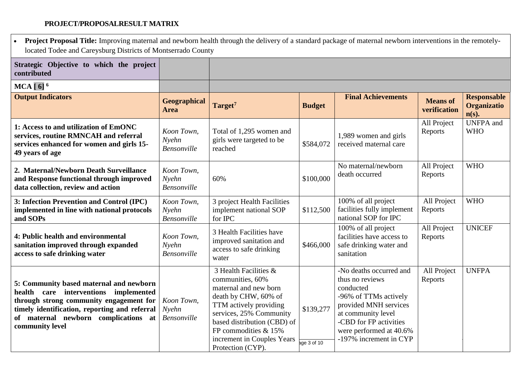### **PROJECT/PROPOSALRESULT MATRIX**

 $\Gamma$ 

| <b>Project Proposal Title:</b> Improving maternal and newborn health through the delivery of a standard package of maternal newborn interventions in the remotely-<br>located Todee and Careysburg Districts of Montserrado County      |                                           |                                                                                                                                                                                                                                                           |                          |                                                                                                                                                                                                                |                                 |                                                      |
|-----------------------------------------------------------------------------------------------------------------------------------------------------------------------------------------------------------------------------------------|-------------------------------------------|-----------------------------------------------------------------------------------------------------------------------------------------------------------------------------------------------------------------------------------------------------------|--------------------------|----------------------------------------------------------------------------------------------------------------------------------------------------------------------------------------------------------------|---------------------------------|------------------------------------------------------|
| Strategic Objective to which the project<br>contributed                                                                                                                                                                                 |                                           |                                                                                                                                                                                                                                                           |                          |                                                                                                                                                                                                                |                                 |                                                      |
| $MCA [6]$ <sup>6</sup>                                                                                                                                                                                                                  |                                           |                                                                                                                                                                                                                                                           |                          |                                                                                                                                                                                                                |                                 |                                                      |
| <b>Output Indicators</b>                                                                                                                                                                                                                | Geographical<br><b>Area</b>               | Target <sup>7</sup>                                                                                                                                                                                                                                       | <b>Budget</b>            | <b>Final Achievements</b>                                                                                                                                                                                      | <b>Means</b> of<br>verification | <b>Responsable</b><br><b>Organizatio</b><br>$n(s)$ . |
| 1: Access to and utilization of EmONC<br>services, routine RMNCAH and referral<br>services enhanced for women and girls 15-<br>49 years of age                                                                                          | Koon Town,<br>Nyehn<br>Bensonville        | Total of 1,295 women and<br>girls were targeted to be<br>reached                                                                                                                                                                                          | \$584,072                | 1,989 women and girls<br>received maternal care                                                                                                                                                                | All Project<br>Reports          | <b>UNFPA</b> and<br><b>WHO</b>                       |
| 2. Maternal/Newborn Death Surveillance<br>and Response functional through improved<br>data collection, review and action                                                                                                                | Koon Town,<br>Nyehn<br><b>Bensonville</b> | 60%                                                                                                                                                                                                                                                       | \$100,000                | No maternal/newborn<br>death occurred                                                                                                                                                                          | All Project<br>Reports          | <b>WHO</b>                                           |
| 3: Infection Prevention and Control (IPC)<br>implemented in line with national protocols<br>and SOPs                                                                                                                                    | Koon Town,<br>Nyehn<br>Bensonville        | 3 project Health Facilities<br>implement national SOP<br>for IPC                                                                                                                                                                                          | \$112,500                | 100% of all project<br>facilities fully implement<br>national SOP for IPC                                                                                                                                      | All Project<br>Reports          | <b>WHO</b>                                           |
| 4: Public health and environmental<br>sanitation improved through expanded<br>access to safe drinking water                                                                                                                             | Koon Town,<br>Nyehn<br>Bensonville        | 3 Health Facilities have<br>improved sanitation and<br>access to safe drinking<br>water                                                                                                                                                                   | \$466,000                | 100% of all project<br>facilities have access to<br>safe drinking water and<br>sanitation                                                                                                                      | All Project<br>Reports          | <b>UNICEF</b>                                        |
| 5: Community based maternal and newborn<br>health care interventions implemented<br>through strong community engagement for<br>timely identification, reporting and referral<br>of maternal newborn complications at<br>community level | Koon Town,<br>Nyehn<br>Bensonville        | 3 Health Facilities &<br>communities, 60%<br>maternal and new born<br>death by CHW, 60% of<br>TTM actively providing<br>services, 25% Community<br>based distribution (CBD) of<br>FP commodities & 15%<br>increment in Couples Years<br>Protection (CYP). | \$139,277<br>age 3 of 10 | -No deaths occurred and<br>thus no reviews<br>conducted<br>-96% of TTMs actively<br>provided MNH services<br>at community level<br>-CBD for FP activities<br>were performed at 40.6%<br>-197% increment in CYP | All Project<br>Reports          | <b>UNFPA</b>                                         |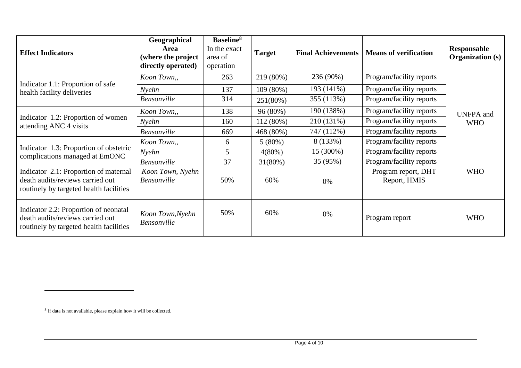| <b>Effect Indicators</b>                                                                                             | Geographical<br><b>Area</b><br>(where the project<br>directly operated) | <b>Baseline</b> <sup>8</sup><br>In the exact<br>area of<br>operation | <b>Target</b> | <b>Final Achievements</b> | <b>Means of verification</b>        | Responsable<br><b>Organization</b> (s) |
|----------------------------------------------------------------------------------------------------------------------|-------------------------------------------------------------------------|----------------------------------------------------------------------|---------------|---------------------------|-------------------------------------|----------------------------------------|
|                                                                                                                      | Koon Town,,                                                             | 263                                                                  | 219 (80%)     | 236 (90%)                 | Program/facility reports            |                                        |
| Indicator 1.1: Proportion of safe<br>health facility deliveries                                                      | Nyehn                                                                   | 137                                                                  | 109 (80%)     | 193 (141%)                | Program/facility reports            |                                        |
|                                                                                                                      | <b>Bensonville</b>                                                      | 314                                                                  | 251(80%)      | 355 (113%)                | Program/facility reports            |                                        |
|                                                                                                                      | Koon Town,,                                                             | 138                                                                  | 96 (80%)      | 190 (138%)                | Program/facility reports            | <b>UNFPA</b> and                       |
| Indicator 1.2: Proportion of women<br>attending ANC 4 visits                                                         | Nyehn                                                                   | 160                                                                  | 112 (80%)     | 210 (131%)                | Program/facility reports            | <b>WHO</b>                             |
|                                                                                                                      | <b>Bensonville</b>                                                      | 669                                                                  | 468 (80%)     | 747 (112%)                | Program/facility reports            |                                        |
| Indicator 1.3: Proportion of obstetric<br>complications managed at EmONC                                             | Koon Town,,                                                             | 6                                                                    | $5(80\%)$     | 8 (133%)                  | Program/facility reports            |                                        |
|                                                                                                                      | Nyehn                                                                   | 5                                                                    | 4(80%)        | 15 (300%)                 | Program/facility reports            |                                        |
|                                                                                                                      | <b>Bensonville</b>                                                      | 37                                                                   | $31(80\%)$    | 35 (95%)                  | Program/facility reports            |                                        |
| Indicator 2.1: Proportion of maternal<br>death audits/reviews carried out<br>routinely by targeted health facilities | Koon Town, Nyehn<br><b>Bensonville</b>                                  | 50%                                                                  | 60%           | 0%                        | Program report, DHT<br>Report, HMIS | <b>WHO</b>                             |
| Indicator 2.2: Proportion of neonatal<br>death audits/reviews carried out<br>routinely by targeted health facilities | Koon Town, Nyehn<br><b>Bensonville</b>                                  | 50%                                                                  | 60%           | 0%                        | Program report                      | <b>WHO</b>                             |

<sup>&</sup>lt;sup>8</sup> If data is not available, please explain how it will be collected.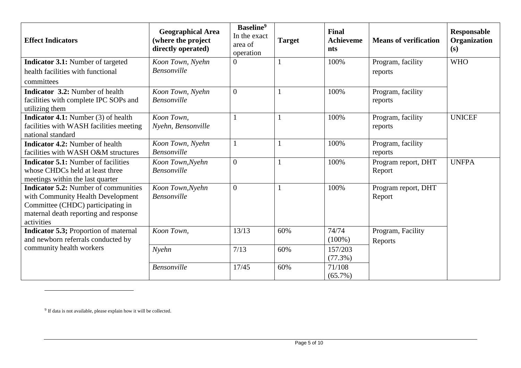| <b>Effect Indicators</b>                                                                                                                                                     | <b>Geographical Area</b><br>(where the project<br>directly operated) | Baseline <sup>9</sup><br>In the exact<br>area of<br>operation | <b>Target</b> | <b>Final</b><br><b>Achieveme</b><br><b>nts</b> | <b>Means of verification</b>  | Responsable<br>Organization<br>(s) |
|------------------------------------------------------------------------------------------------------------------------------------------------------------------------------|----------------------------------------------------------------------|---------------------------------------------------------------|---------------|------------------------------------------------|-------------------------------|------------------------------------|
| <b>Indicator 3.1:</b> Number of targeted<br>health facilities with functional                                                                                                | Koon Town, Nyehn<br><b>Bensonville</b>                               | $\Omega$                                                      | $\mathbf{1}$  | 100%                                           | Program, facility             | <b>WHO</b>                         |
| committees                                                                                                                                                                   |                                                                      |                                                               |               |                                                | reports                       |                                    |
| <b>Indicator 3.2:</b> Number of health<br>facilities with complete IPC SOPs and<br>utilizing them                                                                            | Koon Town, Nyehn<br>Bensonville                                      | $\Omega$                                                      | 1             | 100%                                           | Program, facility<br>reports  |                                    |
| <b>Indicator 4.1:</b> Number (3) of health<br>facilities with WASH facilities meeting<br>national standard                                                                   | Koon Town,<br>Nyehn, Bensonville                                     |                                                               | 1             | 100%                                           | Program, facility<br>reports  | <b>UNICEF</b>                      |
| <b>Indicator 4.2:</b> Number of health<br>facilities with WASH O&M structures                                                                                                | Koon Town, Nyehn<br><b>Bensonville</b>                               | 1                                                             | 1             | 100%                                           | Program, facility<br>reports  |                                    |
| <b>Indicator 5.1:</b> Number of facilities<br>whose CHDCs held at least three<br>meetings within the last quarter                                                            | Koon Town, Nyehn<br><b>Bensonville</b>                               | $\Omega$                                                      | 1             | 100%                                           | Program report, DHT<br>Report | <b>UNFPA</b>                       |
| <b>Indicator 5.2:</b> Number of communities<br>with Community Health Development<br>Committee (CHDC) participating in<br>maternal death reporting and response<br>activities | Koon Town, Nyehn<br>Bensonville                                      | $\theta$                                                      | $\mathbf{1}$  | 100%                                           | Program report, DHT<br>Report |                                    |
| <b>Indicator 5.3; Proportion of maternal</b><br>and newborn referrals conducted by                                                                                           | Koon Town,                                                           | 13/13                                                         | 60%           | 74/74<br>$(100\%)$                             | Program, Facility<br>Reports  |                                    |
| community health workers                                                                                                                                                     | Nyehn                                                                | 7/13                                                          | 60%           | 157/203<br>$(77.3\%)$                          |                               |                                    |
|                                                                                                                                                                              | Bensonville                                                          | 17/45                                                         | 60%           | 71/108<br>$(65.7\%)$                           |                               |                                    |

<sup>&</sup>lt;sup>9</sup> If data is not available, please explain how it will be collected.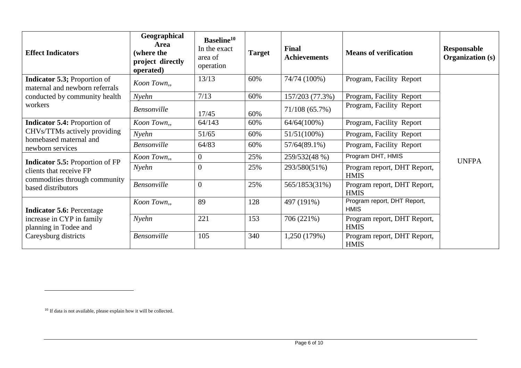| <b>Effect Indicators</b>                                                                                                 | Geographical<br>Area<br>(where the<br>project directly<br>operated) | Baseline <sup>10</sup><br>In the exact<br>area of<br>operation | <b>Target</b> | Final<br><b>Achievements</b> | <b>Means of verification</b>               | Responsable<br><b>Organization</b> (s) |  |
|--------------------------------------------------------------------------------------------------------------------------|---------------------------------------------------------------------|----------------------------------------------------------------|---------------|------------------------------|--------------------------------------------|----------------------------------------|--|
| <b>Indicator 5.3; Proportion of</b><br>maternal and newborn referrals                                                    | Koon Town,,                                                         | 13/13                                                          | 60%           | 74/74 (100%)                 | Program, Facility Report                   |                                        |  |
| conducted by community health                                                                                            | Nyehn                                                               | 7/13                                                           | 60%           | 157/203 (77.3%)              | Program, Facility Report                   |                                        |  |
| workers                                                                                                                  | <b>Bensonville</b>                                                  | 17/45                                                          | 60%           | 71/108 (65.7%)               | Program, Facility Report                   |                                        |  |
| <b>Indicator 5.4: Proportion of</b>                                                                                      | Koon Town,,                                                         | 64/143                                                         | 60%           | $64/64(100\%)$               | Program, Facility Report                   |                                        |  |
| CHVs/TTMs actively providing<br>homebased maternal and<br>newborn services                                               | Nyehn                                                               | 51/65                                                          | 60%           | $51/51(100\%)$               | Program, Facility Report                   |                                        |  |
|                                                                                                                          | <b>Bensonville</b>                                                  | 64/83                                                          | 60%           | $57/64(89.1\%)$              | Program, Facility Report                   |                                        |  |
| <b>Indicator 5.5: Proportion of FP</b><br>clients that receive FP<br>commodities through community<br>based distributors | Koon Town,,                                                         | $\overline{0}$                                                 | 25%           | 259/532(48 %)                | Program DHT, HMIS                          | <b>UNFPA</b>                           |  |
|                                                                                                                          | Nyehn                                                               | $\overline{0}$                                                 | 25%           | 293/580(51%)                 | Program report, DHT Report,<br><b>HMIS</b> |                                        |  |
|                                                                                                                          | <b>Bensonville</b>                                                  | $\overline{0}$                                                 | 25%           | 565/1853(31%)                | Program report, DHT Report,<br><b>HMIS</b> |                                        |  |
| <b>Indicator 5.6: Percentage</b><br>increase in CYP in family<br>planning in Todee and<br>Careysburg districts           | Koon Town,,                                                         | 89                                                             | 128           | 497 (191%)                   | Program report, DHT Report,<br><b>HMIS</b> |                                        |  |
|                                                                                                                          | Nyehn                                                               | 221                                                            | 153           | 706 (221%)                   | Program report, DHT Report,<br><b>HMIS</b> |                                        |  |
|                                                                                                                          | <b>Bensonville</b>                                                  | 105                                                            | 340           | 1,250 (179%)                 | Program report, DHT Report,<br><b>HMIS</b> |                                        |  |

<sup>&</sup>lt;sup>10</sup> If data is not available, please explain how it will be collected.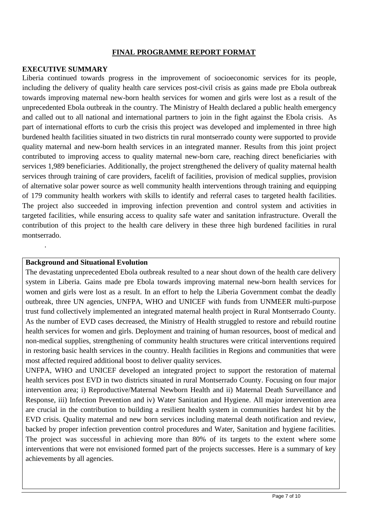#### **FINAL PROGRAMME REPORT FORMAT**

#### **EXECUTIVE SUMMARY**

Liberia continued towards progress in the improvement of socioeconomic services for its people, including the delivery of quality health care services post-civil crisis as gains made pre Ebola outbreak towards improving maternal new-born health services for women and girls were lost as a result of the unprecedented Ebola outbreak in the country. The Ministry of Health declared a public health emergency and called out to all national and international partners to join in the fight against the Ebola crisis. As part of international efforts to curb the crisis this project was developed and implemented in three high burdened health facilities situated in two districts tin rural montserrado county were supported to provide quality maternal and new-born health services in an integrated manner. Results from this joint project contributed to improving access to quality maternal new-born care, reaching direct beneficiaries with services 1,989 beneficiaries. Additionally, the project strengthened the delivery of quality maternal health services through training of care providers, facelift of facilities, provision of medical supplies, provision of alternative solar power source as well community health interventions through training and equipping of 179 community health workers with skills to identify and referral cases to targeted health facilities. The project also succeeded in improving infection prevention and control system and activities in targeted facilities, while ensuring access to quality safe water and sanitation infrastructure. Overall the contribution of this project to the health care delivery in these three high burdened facilities in rural montserrado.

#### **Background and Situational Evolution**

.

The devastating unprecedented Ebola outbreak resulted to a near shout down of the health care delivery system in Liberia. Gains made pre Ebola towards improving maternal new-born health services for women and girls were lost as a result. In an effort to help the Liberia Government combat the deadly outbreak, three UN agencies, UNFPA, WHO and UNICEF with funds from UNMEER multi-purpose trust fund collectively implemented an integrated maternal health project in Rural Montserrado County. As the number of EVD cases decreased, the Ministry of Health struggled to restore and rebuild routine health services for women and girls. Deployment and training of human resources, boost of medical and non-medical supplies, strengthening of community health structures were critical interventions required in restoring basic health services in the country. Health facilities in Regions and communities that were most affected required additional boost to deliver quality services.

UNFPA, WHO and UNICEF developed an integrated project to support the restoration of maternal health services post EVD in two districts situated in rural Montserrado County. Focusing on four major intervention area; i) Reproductive/Maternal Newborn Health and ii) Maternal Death Surveillance and Response, iii) Infection Prevention and iv) Water Sanitation and Hygiene. All major intervention area are crucial in the contribution to building a resilient health system in communities hardest hit by the EVD crisis. Quality maternal and new born services including maternal death notification and review, backed by proper infection prevention control procedures and Water, Sanitation and hygiene facilities. The project was successful in achieving more than 80% of its targets to the extent where some interventions that were not envisioned formed part of the projects successes. Here is a summary of key achievements by all agencies.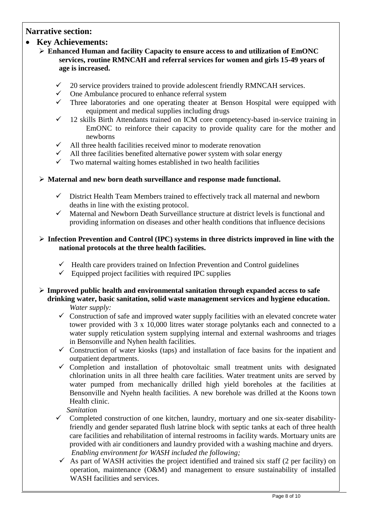## **Narrative section:**

### • **Key Achievements:**

- ➢ **Enhanced Human and facility Capacity to ensure access to and utilization of EmONC services, routine RMNCAH and referral services for women and girls 15-49 years of age is increased.**
	- 20 service providers trained to provide adolescent friendly RMNCAH services.
	- One Ambulance procured to enhance referral system
	- $\checkmark$  Three laboratories and one operating theater at Benson Hospital were equipped with equipment and medical supplies including drugs
	- $\checkmark$  12 skills Birth Attendants trained on ICM core competency-based in-service training in EmONC to reinforce their capacity to provide quality care for the mother and newborns
	- $\checkmark$  All three health facilities received minor to moderate renovation
	- All three facilities benefited alternative power system with solar energy
	- $\checkmark$  Two maternal waiting homes established in two health facilities

### ➢ **Maternal and new born death surveillance and response made functional.**

- $\checkmark$  District Health Team Members trained to effectively track all maternal and newborn deaths in line with the existing protocol.
- ✓ Maternal and Newborn Death Surveillance structure at district levels is functional and providing information on diseases and other health conditions that influence decisions

#### ➢ **Infection Prevention and Control (IPC) systems in three districts improved in line with the national protocols at the three health facilities.**

- $\checkmark$  Health care providers trained on Infection Prevention and Control guidelines
- $\checkmark$  Equipped project facilities with required IPC supplies
- ➢ **Improved public health and environmental sanitation through expanded access to safe drinking water, basic sanitation, solid waste management services and hygiene education.** *Water supply:* 
	- $\checkmark$  Construction of safe and improved water supply facilities with an elevated concrete water tower provided with 3 x 10,000 litres water storage polytanks each and connected to a water supply reticulation system supplying internal and external washrooms and triages in Bensonville and Nyhen health facilities.
	- $\checkmark$  Construction of water kiosks (taps) and installation of face basins for the inpatient and outpatient departments.
	- ✓ Completion and installation of photovoltaic small treatment units with designated chlorination units in all three health care facilities. Water treatment units are served by water pumped from mechanically drilled high yield boreholes at the facilities at Bensonville and Nyehn health facilities. A new borehole was drilled at the Koons town Health clinic.

*Sanitatio*n

- ✓ Completed construction of one kitchen, laundry, mortuary and one six-seater disabilityfriendly and gender separated flush latrine block with septic tanks at each of three health care facilities and rehabilitation of internal restrooms in facility wards. Mortuary units are provided with air conditioners and laundry provided with a washing machine and dryers. *Enabling environment for WASH included the following;*
- $\checkmark$  As part of WASH activities the project identified and trained six staff (2 per facility) on operation, maintenance (O&M) and management to ensure sustainability of installed WASH facilities and services.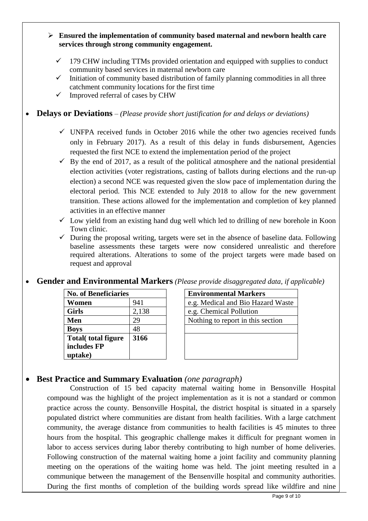- ➢ **Ensured the implementation of community based maternal and newborn health care services through strong community engagement.**
	- $\checkmark$  179 CHW including TTMs provided orientation and equipped with supplies to conduct community based services in maternal newborn care
	- $\checkmark$  Initiation of community based distribution of family planning commodities in all three catchment community locations for the first time
	- $\checkmark$  Improved referral of cases by CHW

## • **Delays or Deviations** *– (Please provide short justification for and delays or deviations)*

- $\checkmark$  UNFPA received funds in October 2016 while the other two agencies received funds only in February 2017). As a result of this delay in funds disbursement, Agencies requested the first NCE to extend the implementation period of the project
- $\checkmark$  By the end of 2017, as a result of the political atmosphere and the national presidential election activities (voter registrations, casting of ballots during elections and the run-up election) a second NCE was requested given the slow pace of implementation during the electoral period. This NCE extended to July 2018 to allow for the new government transition. These actions allowed for the implementation and completion of key planned activities in an effective manner
- $\checkmark$  Low yield from an existing hand dug well which led to drilling of new borehole in Koon Town clinic.
- $\checkmark$  During the proposal writing, targets were set in the absence of baseline data. Following baseline assessments these targets were now considered unrealistic and therefore required alterations. Alterations to some of the project targets were made based on request and approval

## • **Gender and Environmental Markers** *(Please provide disaggregated data, if applicable)*

| <b>No. of Beneficiaries</b> |       | <b>Environmental Markers</b>      |
|-----------------------------|-------|-----------------------------------|
| Women                       | 941   | e.g. Medical and Bio Hazard W     |
| <b>Girls</b>                | 2,138 | e.g. Chemical Pollution           |
| <b>Men</b>                  | 29    | Nothing to report in this section |
| <b>Boys</b>                 | 48    |                                   |
| <b>Total</b> (total figure  | 3166  |                                   |
| includes FP                 |       |                                   |
| uptake)                     |       |                                   |

| <b>No. of Beneficiaries</b> |       | <b>Environmental Markers</b>      |  |  |  |
|-----------------------------|-------|-----------------------------------|--|--|--|
| Women                       | 941   | e.g. Medical and Bio Hazard Waste |  |  |  |
| Girls                       | 2,138 | e.g. Chemical Pollution           |  |  |  |
| Men                         | 29    | Nothing to report in this section |  |  |  |
| <b>Boys</b>                 | 48    |                                   |  |  |  |
| Total(total figure          | 3166  |                                   |  |  |  |
| includes FP                 |       |                                   |  |  |  |
| uptake)                     |       |                                   |  |  |  |

# • **Best Practice and Summary Evaluation** *(one paragraph)*

Construction of 15 bed capacity maternal waiting home in Bensonville Hospital compound was the highlight of the project implementation as it is not a standard or common practice across the county. Bensonville Hospital, the district hospital is situated in a sparsely populated district where communities are distant from health facilities. With a large catchment community, the average distance from communities to health facilities is 45 minutes to three hours from the hospital. This geographic challenge makes it difficult for pregnant women in labor to access services during labor thereby contributing to high number of home deliveries. Following construction of the maternal waiting home a joint facility and community planning meeting on the operations of the waiting home was held. The joint meeting resulted in a communique between the management of the Bensenville hospital and community authorities. During the first months of completion of the building words spread like wildfire and nine